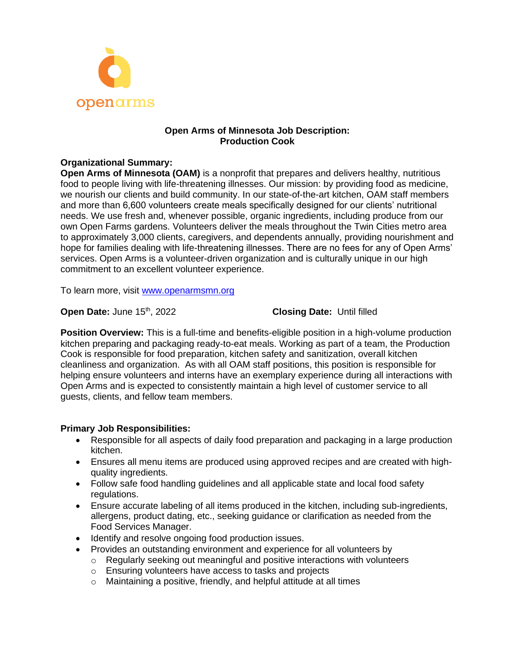

# **Open Arms of Minnesota Job Description: Production Cook**

# **Organizational Summary:**

**Open Arms of Minnesota (OAM)** is a nonprofit that prepares and delivers healthy, nutritious food to people living with life-threatening illnesses. Our mission: by providing food as medicine, we nourish our clients and build community. In our state-of-the-art kitchen, OAM staff members and more than 6,600 volunteers create meals specifically designed for our clients' nutritional needs. We use fresh and, whenever possible, organic ingredients, including produce from our own Open Farms gardens. Volunteers deliver the meals throughout the Twin Cities metro area to approximately 3,000 clients, caregivers, and dependents annually, providing nourishment and hope for families dealing with life-threatening illnesses. There are no fees for any of Open Arms' services. Open Arms is a volunteer-driven organization and is culturally unique in our high commitment to an excellent volunteer experience.

To learn more, visit [www.openarmsmn.org](http://www.openarmsmn.org/)

**Open Date:** June 15<sup>th</sup>, 2022 **Closing Date:** Until filled

**Position Overview:** This is a full-time and benefits-eligible position in a high-volume production kitchen preparing and packaging ready-to-eat meals. Working as part of a team, the Production Cook is responsible for food preparation, kitchen safety and sanitization, overall kitchen cleanliness and organization. As with all OAM staff positions, this position is responsible for helping ensure volunteers and interns have an exemplary experience during all interactions with Open Arms and is expected to consistently maintain a high level of customer service to all guests, clients, and fellow team members.

# **Primary Job Responsibilities:**

- Responsible for all aspects of daily food preparation and packaging in a large production kitchen.
- Ensures all menu items are produced using approved recipes and are created with highquality ingredients.
- Follow safe food handling quidelines and all applicable state and local food safety regulations.
- Ensure accurate labeling of all items produced in the kitchen, including sub-ingredients, allergens, product dating, etc., seeking guidance or clarification as needed from the Food Services Manager.
- Identify and resolve ongoing food production issues.
- Provides an outstanding environment and experience for all volunteers by
	- $\circ$  Regularly seeking out meaningful and positive interactions with volunteers
	- o Ensuring volunteers have access to tasks and projects
	- o Maintaining a positive, friendly, and helpful attitude at all times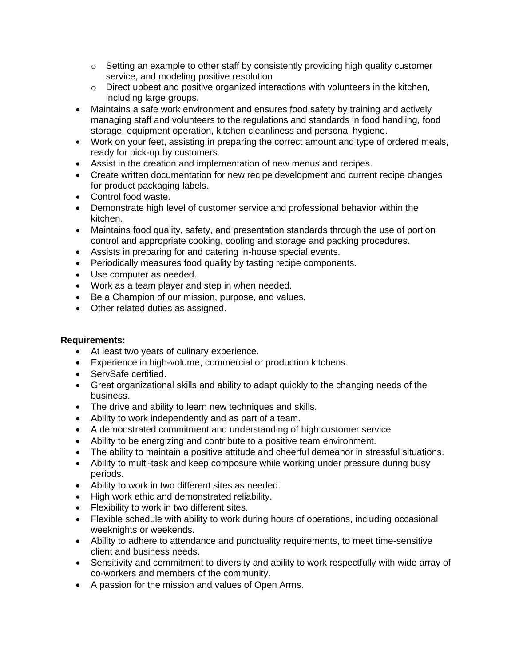- $\circ$  Setting an example to other staff by consistently providing high quality customer service, and modeling positive resolution
- $\circ$  Direct upbeat and positive organized interactions with volunteers in the kitchen, including large groups.
- Maintains a safe work environment and ensures food safety by training and actively managing staff and volunteers to the regulations and standards in food handling, food storage, equipment operation, kitchen cleanliness and personal hygiene.
- Work on your feet, assisting in preparing the correct amount and type of ordered meals, ready for pick-up by customers.
- Assist in the creation and implementation of new menus and recipes.
- Create written documentation for new recipe development and current recipe changes for product packaging labels.
- Control food waste.
- Demonstrate high level of customer service and professional behavior within the kitchen.
- Maintains food quality, safety, and presentation standards through the use of portion control and appropriate cooking, cooling and storage and packing procedures.
- Assists in preparing for and catering in-house special events.
- Periodically measures food quality by tasting recipe components.
- Use computer as needed.
- Work as a team player and step in when needed.
- Be a Champion of our mission, purpose, and values.
- Other related duties as assigned.

# **Requirements:**

- At least two years of culinary experience.
- Experience in high-volume, commercial or production kitchens.
- ServSafe certified.
- Great organizational skills and ability to adapt quickly to the changing needs of the business.
- The drive and ability to learn new techniques and skills.
- Ability to work independently and as part of a team.
- A demonstrated commitment and understanding of high customer service
- Ability to be energizing and contribute to a positive team environment.
- The ability to maintain a positive attitude and cheerful demeanor in stressful situations.
- Ability to multi-task and keep composure while working under pressure during busy periods.
- Ability to work in two different sites as needed.
- High work ethic and demonstrated reliability.
- Flexibility to work in two different sites.
- Flexible schedule with ability to work during hours of operations, including occasional weeknights or weekends.
- Ability to adhere to attendance and punctuality requirements, to meet time-sensitive client and business needs.
- Sensitivity and commitment to diversity and ability to work respectfully with wide array of co-workers and members of the community.
- A passion for the mission and values of Open Arms.